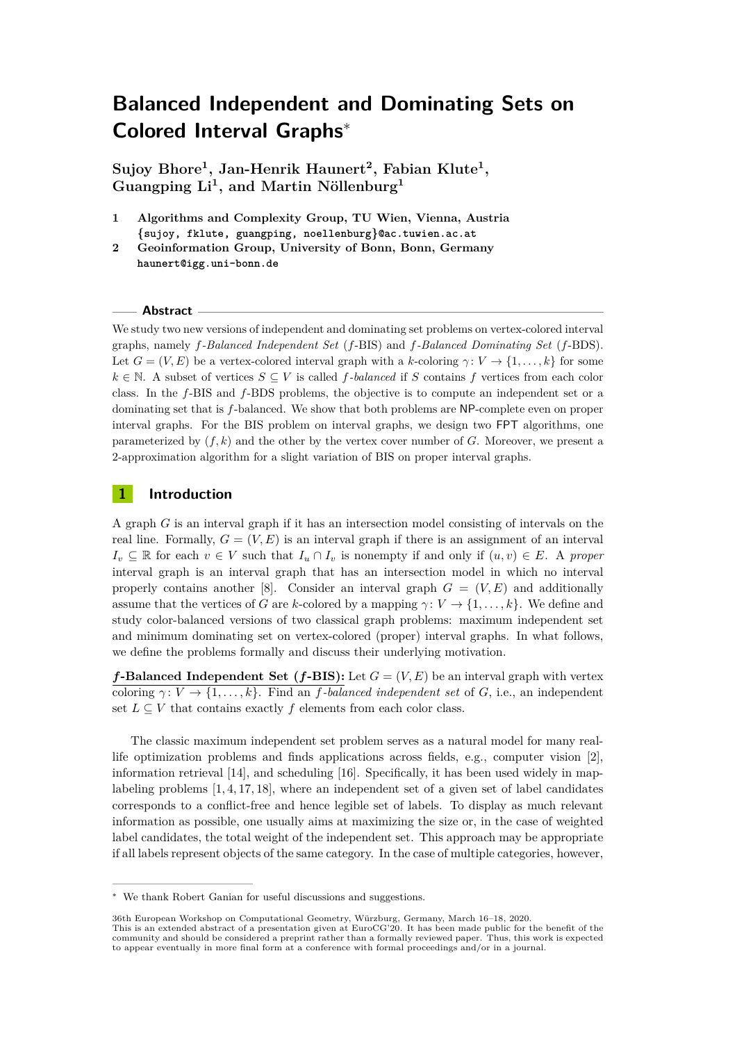# **Balanced Independent and Dominating Sets on Colored Interval Graphs**<sup>∗</sup>

**Sujoy Bhore<sup>1</sup> , Jan-Henrik Haunert<sup>2</sup> , Fabian Klute<sup>1</sup> , Guangping Li<sup>1</sup> , and Martin Nöllenburg<sup>1</sup>**

- **1 Algorithms and Complexity Group, TU Wien, Vienna, Austria {sujoy, fklute, guangping, noellenburg}@ac.tuwien.ac.at**
- **2 Geoinformation Group, University of Bonn, Bonn, Germany haunert@igg.uni-bonn.de**

#### **Abstract**

We study two new versions of independent and dominating set problems on vertex-colored interval graphs, namely *f-Balanced Independent Set* (*f*-BIS) and *f-Balanced Dominating Set* (*f*-BDS). Let  $G = (V, E)$  be a vertex-colored interval graph with a *k*-coloring  $\gamma: V \to \{1, \ldots, k\}$  for some *k* ∈ N. A subset of vertices  $S \subseteq V$  is called *f*-balanced if *S* contains *f* vertices from each color class. In the *f*-BIS and *f*-BDS problems, the objective is to compute an independent set or a dominating set that is *f*-balanced. We show that both problems are NP-complete even on proper interval graphs. For the BIS problem on interval graphs, we design two FPT algorithms, one parameterized by  $(f, k)$  and the other by the vertex cover number of  $G$ . Moreover, we present a 2-approximation algorithm for a slight variation of BIS on proper interval graphs.

## **1 Introduction**

A graph *G* is an interval graph if it has an intersection model consisting of intervals on the real line. Formally,  $G = (V, E)$  is an interval graph if there is an assignment of an interval  $I_v \subseteq \mathbb{R}$  for each  $v \in V$  such that  $I_u \cap I_v$  is nonempty if and only if  $(u, v) \in E$ . A *proper* interval graph is an interval graph that has an intersection model in which no interval properly contains another [\[8\]](#page-5-0). Consider an interval graph  $G = (V, E)$  and additionally assume that the vertices of *G* are *k*-colored by a mapping  $\gamma: V \to \{1, \ldots, k\}$ . We define and study color-balanced versions of two classical graph problems: maximum independent set and minimum dominating set on vertex-colored (proper) interval graphs. In what follows, we define the problems formally and discuss their underlying motivation.

*f***-Balanced Independent Set (***f***-BIS):** Let  $G = (V, E)$  be an interval graph with vertex coloring  $\gamma: V \to \{1, \ldots, k\}$ . Find an *f*-balanced independent set of *G*, i.e., an independent set  $L \subseteq V$  that contains exactly  $f$  elements from each color class.

The classic maximum independent set problem serves as a natural model for many reallife optimization problems and finds applications across fields, e.g., computer vision [\[2\]](#page-4-0), information retrieval [\[14\]](#page-5-1), and scheduling [\[16\]](#page-5-2). Specifically, it has been used widely in maplabeling problems [\[1,](#page-4-1) [4,](#page-5-3) [17,](#page-5-4) [18\]](#page-5-5), where an independent set of a given set of label candidates corresponds to a conflict-free and hence legible set of labels. To display as much relevant information as possible, one usually aims at maximizing the size or, in the case of weighted label candidates, the total weight of the independent set. This approach may be appropriate if all labels represent objects of the same category. In the case of multiple categories, however,

<sup>∗</sup> We thank Robert Ganian for useful discussions and suggestions.

<sup>36</sup>th European Workshop on Computational Geometry, Würzburg, Germany, March 16–18, 2020.

This is an extended abstract of a presentation given at EuroCG'20. It has been made public for the benefit of the community and should be considered a preprint rather than a formally reviewed paper. Thus, this work is expected to appear eventually in more final form at a conference with formal proceedings and/or in a journal.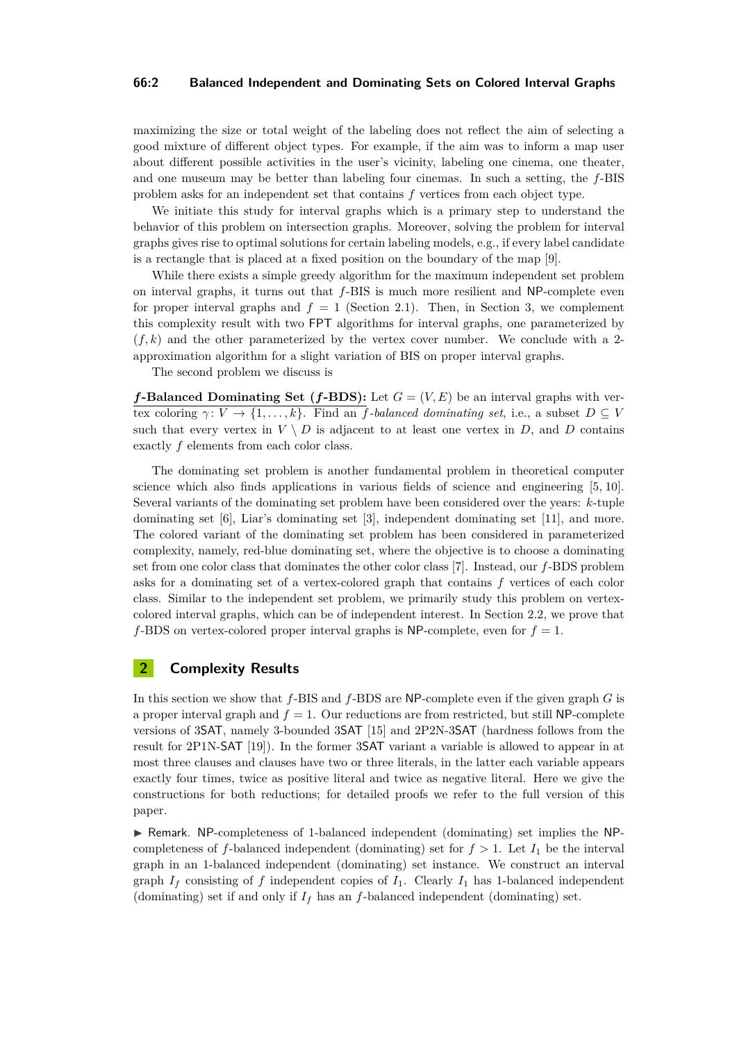#### **66:2 Balanced Independent and Dominating Sets on Colored Interval Graphs**

maximizing the size or total weight of the labeling does not reflect the aim of selecting a good mixture of different object types. For example, if the aim was to inform a map user about different possible activities in the user's vicinity, labeling one cinema, one theater, and one museum may be better than labeling four cinemas. In such a setting, the *f*-BIS problem asks for an independent set that contains *f* vertices from each object type.

We initiate this study for interval graphs which is a primary step to understand the behavior of this problem on intersection graphs. Moreover, solving the problem for interval graphs gives rise to optimal solutions for certain labeling models, e.g., if every label candidate is a rectangle that is placed at a fixed position on the boundary of the map [\[9\]](#page-5-6).

While there exists a simple greedy algorithm for the maximum independent set problem on interval graphs, it turns out that *f*-BIS is much more resilient and NP-complete even for proper interval graphs and  $f = 1$  (Section [2.1\)](#page-2-0). Then, in Section [3,](#page-3-0) we complement this complexity result with two FPT algorithms for interval graphs, one parameterized by  $(f, k)$  and the other parameterized by the vertex cover number. We conclude with a 2approximation algorithm for a slight variation of BIS on proper interval graphs.

The second problem we discuss is

*f***-Balanced Dominating Set (***f***-BDS):** Let  $G = (V, E)$  be an interval graphs with vertex coloring  $\gamma: V \to \{1, \ldots, k\}$ . Find an *f*-balanced dominating set, i.e., a subset  $D \subseteq V$ such that every vertex in  $V \setminus D$  is adjacent to at least one vertex in  $D$ , and  $D$  contains exactly *f* elements from each color class.

The dominating set problem is another fundamental problem in theoretical computer science which also finds applications in various fields of science and engineering [\[5,](#page-5-7) [10\]](#page-5-8). Several variants of the dominating set problem have been considered over the years: *k*-tuple dominating set [\[6\]](#page-5-9), Liar's dominating set [\[3\]](#page-5-10), independent dominating set [\[11\]](#page-5-11), and more. The colored variant of the dominating set problem has been considered in parameterized complexity, namely, red-blue dominating set, where the objective is to choose a dominating set from one color class that dominates the other color class [\[7\]](#page-5-12). Instead, our *f*-BDS problem asks for a dominating set of a vertex-colored graph that contains *f* vertices of each color class. Similar to the independent set problem, we primarily study this problem on vertexcolored interval graphs, which can be of independent interest. In Section [2.2,](#page-2-1) we prove that *f*-BDS on vertex-colored proper interval graphs is NP-complete, even for  $f = 1$ .

## **2 Complexity Results**

In this section we show that *f*-BIS and *f*-BDS are NP-complete even if the given graph *G* is a proper interval graph and  $f = 1$ . Our reductions are from restricted, but still NP-complete versions of 3SAT, namely 3-bounded 3SAT [\[15\]](#page-5-13) and 2P2N-3SAT (hardness follows from the result for 2P1N-SAT [\[19\]](#page-5-14)). In the former 3SAT variant a variable is allowed to appear in at most three clauses and clauses have two or three literals, in the latter each variable appears exactly four times, twice as positive literal and twice as negative literal. Here we give the constructions for both reductions; for detailed proofs we refer to the full version of this paper.

I Remark. NP-completeness of 1-balanced independent (dominating) set implies the NPcompleteness of  $f$ -balanced independent (dominating) set for  $f > 1$ . Let  $I_1$  be the interval graph in an 1-balanced independent (dominating) set instance. We construct an interval graph  $I_f$  consisting of  $f$  independent copies of  $I_1$ . Clearly  $I_1$  has 1-balanced independent (dominating) set if and only if *I<sup>f</sup>* has an *f*-balanced independent (dominating) set.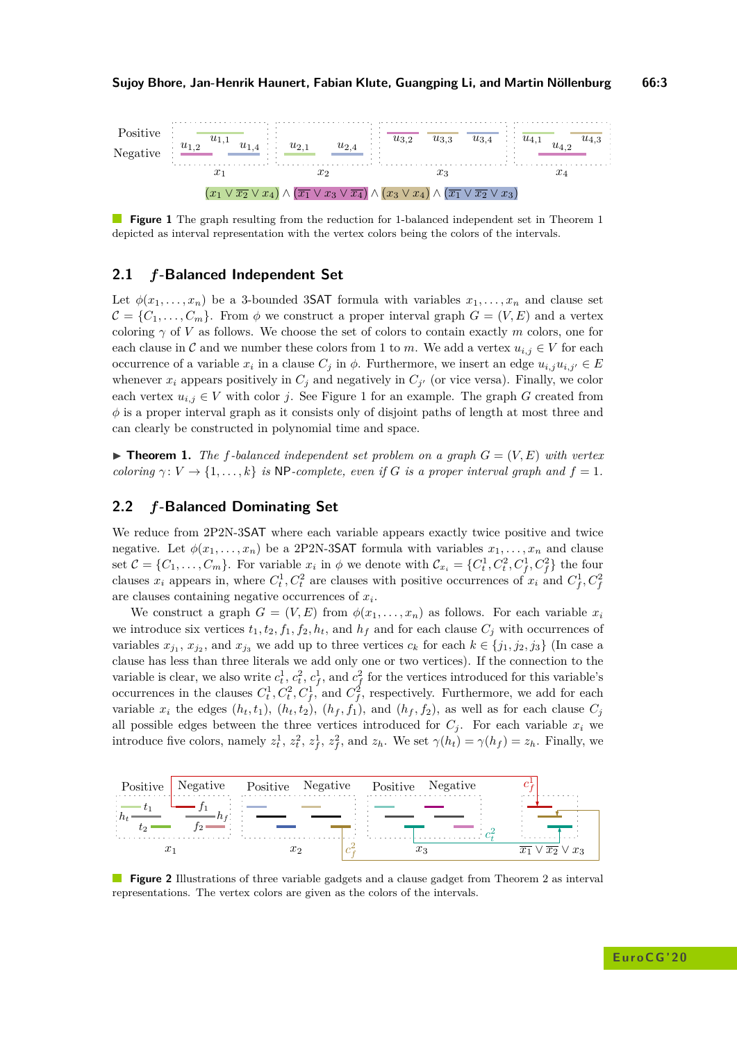<span id="page-2-3"></span>

**Figure 1** The graph resulting from the reduction for 1-balanced independent set in Theorem [1](#page-2-2) depicted as interval representation with the vertex colors being the colors of the intervals.

## <span id="page-2-0"></span>**2.1** *f***-Balanced Independent Set**

Let  $\phi(x_1, \ldots, x_n)$  be a 3-bounded 3SAT formula with variables  $x_1, \ldots, x_n$  and clause set  $\mathcal{C} = \{C_1, \ldots, C_m\}$ . From  $\phi$  we construct a proper interval graph  $G = (V, E)$  and a vertex coloring  $\gamma$  of *V* as follows. We choose the set of colors to contain exactly *m* colors, one for each clause in C and we number these colors from 1 to *m*. We add a vertex  $u_{i,j} \in V$  for each occurrence of a variable  $x_i$  in a clause  $C_j$  in  $\phi$ . Furthermore, we insert an edge  $u_{i,j}u_{i,j'} \in E$ whenever  $x_i$  appears positively in  $C_j$  and negatively in  $C_{j'}$  (or vice versa). Finally, we color each vertex  $u_{i,j} \in V$  with color *j*. See Figure [1](#page-2-3) for an example. The graph *G* created from  $\phi$  is a proper interval graph as it consists only of disjoint paths of length at most three and can clearly be constructed in polynomial time and space.

<span id="page-2-2"></span> $\blacktriangleright$  **Theorem 1.** The f-balanced independent set problem on a graph  $G = (V, E)$  with vertex *coloring*  $\gamma: V \to \{1, \ldots, k\}$  *is* NP*-complete, even if G is a proper interval graph and*  $f = 1$ *.* 

# <span id="page-2-1"></span>**2.2** *f***-Balanced Dominating Set**

We reduce from 2P2N-3SAT where each variable appears exactly twice positive and twice negative. Let  $\phi(x_1, \ldots, x_n)$  be a 2P2N-3SAT formula with variables  $x_1, \ldots, x_n$  and clause set  $\mathcal{C} = \{C_1, \ldots, C_m\}$ . For variable  $x_i$  in  $\phi$  we denote with  $\mathcal{C}_{x_i} = \{C_t^1, C_t^2, C_f^1, C_f^2\}$  the four clauses  $x_i$  appears in, where  $C_t^1, C_t^2$  are clauses with positive occurrences of  $x_i$  and  $C_f^1, C_f^2$ are clauses containing negative occurrences of *x<sup>i</sup>* .

We construct a graph  $G = (V, E)$  from  $\phi(x_1, \ldots, x_n)$  as follows. For each variable  $x_i$ we introduce six vertices  $t_1, t_2, f_1, f_2, h_t$ , and  $h_f$  and for each clause  $C_i$  with occurrences of variables  $x_{j_1}, x_{j_2}$ , and  $x_{j_3}$  we add up to three vertices  $c_k$  for each  $k \in \{j_1, j_2, j_3\}$  (In case a clause has less than three literals we add only one or two vertices). If the connection to the variable is clear, we also write  $c_t^1$ ,  $c_t^2$ ,  $c_f^1$ , and  $c_f^2$  for the vertices introduced for this variable's occurrences in the clauses  $C_t^1, C_t^2, C_f^1$ , and  $C_f^2$ , respectively. Furthermore, we add for each variable  $x_i$  the edges  $(h_t, t_1)$ ,  $(h_t, t_2)$ ,  $(h_f, f_1)$ , and  $(h_f, f_2)$ , as well as for each clause  $C_j$ all possible edges between the three vertices introduced for  $C_j$ . For each variable  $x_i$  we introduce five colors, namely  $z_t^1$ ,  $z_t^2$ ,  $z_f^1$ ,  $z_f^2$ , and  $z_h$ . We set  $\gamma(h_t) = \gamma(h_f) = z_h$ . Finally, we

<span id="page-2-4"></span>

**Figure [2](#page-3-1)** Illustrations of three variable gadgets and a clause gadget from Theorem 2 as interval representations. The vertex colors are given as the colors of the intervals.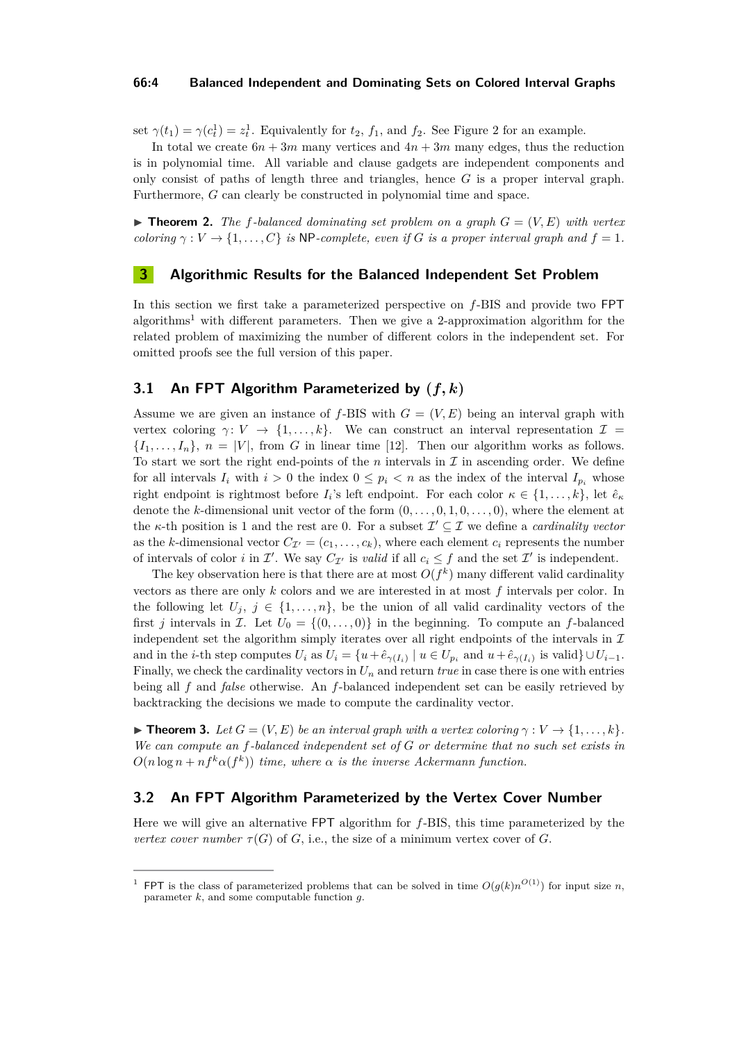#### **66:4 Balanced Independent and Dominating Sets on Colored Interval Graphs**

set  $\gamma(t_1) = \gamma(c_t^1) = z_t^1$ . Equivalently for  $t_2$ ,  $f_1$ , and  $f_2$ . See Figure [2](#page-2-4) for an example.

In total we create  $6n + 3m$  many vertices and  $4n + 3m$  many edges, thus the reduction is in polynomial time. All variable and clause gadgets are independent components and only consist of paths of length three and triangles, hence *G* is a proper interval graph. Furthermore, *G* can clearly be constructed in polynomial time and space.

<span id="page-3-1"></span> $\blacktriangleright$  **Theorem 2.** The f-balanced dominating set problem on a graph  $G = (V, E)$  with vertex *coloring*  $\gamma : V \to \{1, \ldots, C\}$  *is* NP*-complete, even if G is a proper interval graph and*  $f = 1$ *.* 

## <span id="page-3-0"></span>**3 Algorithmic Results for the Balanced Independent Set Problem**

In this section we first take a parameterized perspective on *f*-BIS and provide two FPT algorithms[1](#page-3-2) with different parameters. Then we give a 2-approximation algorithm for the related problem of maximizing the number of different colors in the independent set. For omitted proofs see the full version of this paper.

## **3.1 An FPT Algorithm Parameterized by (***f, k***)**

Assume we are given an instance of  $f$ -BIS with  $G = (V, E)$  being an interval graph with vertex coloring  $\gamma: V \to \{1, \ldots, k\}$ . We can construct an interval representation  $\mathcal{I} =$  ${I_1, \ldots, I_n}$ ,  $n = |V|$ , from *G* in linear time [\[12\]](#page-5-15). Then our algorithm works as follows. To start we sort the right end-points of the  $n$  intervals in  $\mathcal I$  in ascending order. We define for all intervals  $I_i$  with  $i > 0$  the index  $0 \leq p_i < n$  as the index of the interval  $I_{p_i}$  whose right endpoint is rightmost before  $I_i$ 's left endpoint. For each color  $\kappa \in \{1, \ldots, k\}$ , let  $\hat{e}_\kappa$ denote the *k*-dimensional unit vector of the form (0*, . . . ,* 0*,* 1*,* 0*, . . . ,* 0), where the element at the *κ*-th position is 1 and the rest are 0. For a subset  $\mathcal{I}' \subseteq \mathcal{I}$  we define a *cardinality vector* as the *k*-dimensional vector  $C_{\mathcal{I}}=(c_1,\ldots,c_k)$ , where each element  $c_i$  represents the number of intervals of color *i* in  $\mathcal{I}'$ . We say  $C_{\mathcal{I}'}$  is *valid* if all  $c_i \leq f$  and the set  $\mathcal{I}'$  is independent.

The key observation here is that there are at most  $O(f^k)$  many different valid cardinality vectors as there are only *k* colors and we are interested in at most *f* intervals per color. In the following let  $U_j$ ,  $j \in \{1, ..., n\}$ , be the union of all valid cardinality vectors of the first *j* intervals in *I*. Let  $U_0 = \{(0, \ldots, 0)\}\$ in the beginning. To compute an *f*-balanced independent set the algorithm simply iterates over all right endpoints of the intervals in  $\mathcal I$ and in the *i*-th step computes  $U_i$  as  $U_i = \{u + \hat{e}_{\gamma(I_i)} \mid u \in U_{p_i} \text{ and } u + \hat{e}_{\gamma(I_i)} \text{ is valid}\} \cup U_{i-1}.$ Finally, we check the cardinality vectors in  $U_n$  and return *true* in case there is one with entries being all *f* and *false* otherwise. An *f*-balanced independent set can be easily retrieved by backtracking the decisions we made to compute the cardinality vector.

**Find 1. In theorem 3.** Let  $G = (V, E)$  be an interval graph with a vertex coloring  $\gamma : V \to \{1, \ldots, k\}$ . *We can compute an f-balanced independent set of G or determine that no such set exists in*  $O(n \log n + n f^k \alpha(f^k))$  *time, where*  $\alpha$  *is the inverse Ackermann function.* 

## **3.2 An FPT Algorithm Parameterized by the Vertex Cover Number**

Here we will give an alternative FPT algorithm for *f*-BIS, this time parameterized by the *vertex cover number*  $\tau(G)$  of *G*, i.e., the size of a minimum vertex cover of *G*.

<span id="page-3-2"></span><sup>&</sup>lt;sup>1</sup> FPT is the class of parameterized problems that can be solved in time  $O(g(k)n^{O(1)})$  for input size *n*, parameter *k*, and some computable function *g*.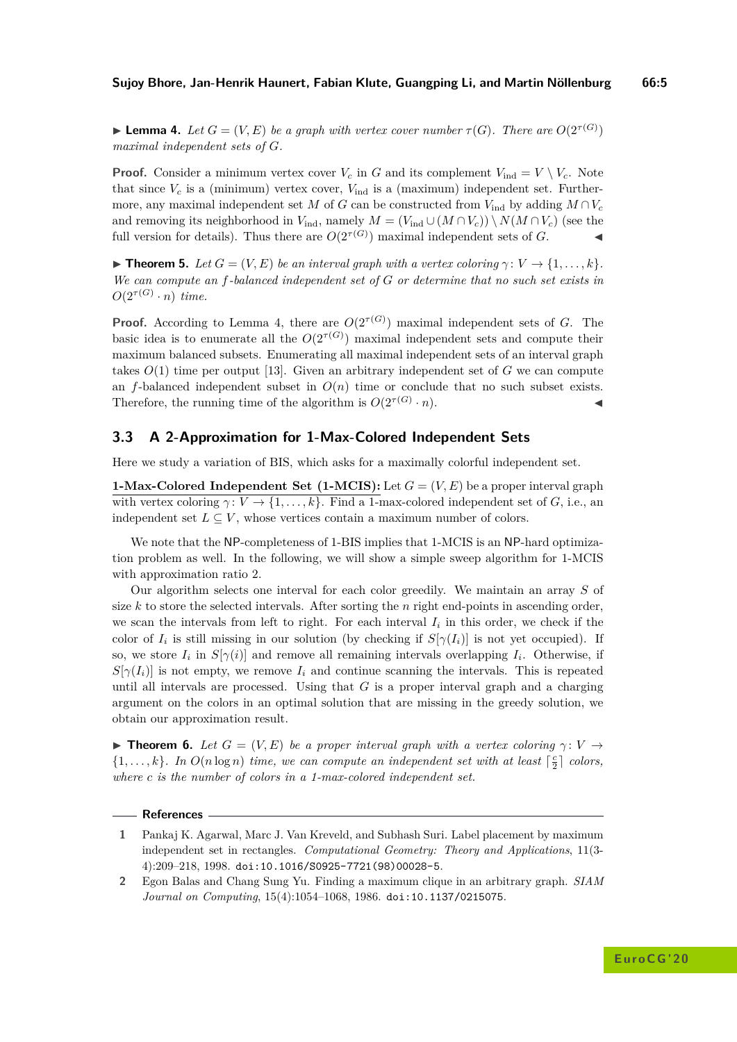<span id="page-4-2"></span>**Example 4.** Let  $G = (V, E)$  be a graph with vertex cover number  $\tau(G)$ . There are  $O(2^{\tau(G)})$ *maximal independent sets of G.*

**Proof.** Consider a minimum vertex cover  $V_c$  in *G* and its complement  $V_{\text{ind}} = V \setminus V_c$ . Note that since  $V_c$  is a (minimum) vertex cover,  $V_{ind}$  is a (maximum) independent set. Furthermore, any maximal independent set *M* of *G* can be constructed from  $V_{ind}$  by adding  $M \cap V_c$ and removing its neighborhood in  $V_{\text{ind}}$ , namely  $M = (V_{\text{ind}} \cup (M \cap V_c)) \setminus N(M \cap V_c)$  (see the full version for details). Thus there are  $O(2^{\tau(G)})$  maximal independent sets of *G*.

**Find 5.** *Let*  $G = (V, E)$  *be an interval graph with a vertex coloring*  $\gamma: V \to \{1, \ldots, k\}$ *. We can compute an f-balanced independent set of G or determine that no such set exists in*  $O(2^{\tau(G)} \cdot n)$  *time.* 

**Proof.** According to Lemma [4,](#page-4-2) there are  $O(2^{\tau(G)})$  maximal independent sets of *G*. The basic idea is to enumerate all the  $O(2^{\tau(G)})$  maximal independent sets and compute their maximum balanced subsets. Enumerating all maximal independent sets of an interval graph takes  $O(1)$  time per output [\[13\]](#page-5-16). Given an arbitrary independent set of  $G$  we can compute an *f*-balanced independent subset in  $O(n)$  time or conclude that no such subset exists. Therefore, the running time of the algorithm is  $O(2^{\tau(G)} \cdot n)$ .  $\cdot n$ ).

## **3.3 A 2-Approximation for 1-Max-Colored Independent Sets**

Here we study a variation of BIS, which asks for a maximally colorful independent set.

**1-Max-Colored Independent Set (1-MCIS):** Let  $G = (V, E)$  be a proper interval graph with vertex coloring  $\gamma: V \to \{1, \ldots, k\}$ . Find a 1-max-colored independent set of *G*, i.e., an independent set  $L \subseteq V$ , whose vertices contain a maximum number of colors.

We note that the NP-completeness of 1-BIS implies that 1-MCIS is an NP-hard optimization problem as well. In the following, we will show a simple sweep algorithm for 1-MCIS with approximation ratio 2.

Our algorithm selects one interval for each color greedily. We maintain an array *S* of size *k* to store the selected intervals. After sorting the *n* right end-points in ascending order, we scan the intervals from left to right. For each interval  $I_i$  in this order, we check if the color of  $I_i$  is still missing in our solution (by checking if  $S[\gamma(I_i)]$  is not yet occupied). If so, we store  $I_i$  in  $S[\gamma(i)]$  and remove all remaining intervals overlapping  $I_i$ . Otherwise, if  $S[\gamma(I_i)]$  is not empty, we remove  $I_i$  and continue scanning the intervals. This is repeated until all intervals are processed. Using that *G* is a proper interval graph and a charging argument on the colors in an optimal solution that are missing in the greedy solution, we obtain our approximation result.

**Find 5.** *Let*  $G = (V, E)$  *be a proper interval graph with a vertex coloring*  $\gamma: V \rightarrow$  $\{1, \ldots, k\}$ . In  $O(n \log n)$  time, we can compute an independent set with at least  $\lceil \frac{c}{2} \rceil$  colors, *where c is the number of colors in a 1-max-colored independent set.*

#### **References**

- <span id="page-4-1"></span>**1** Pankaj K. Agarwal, Marc J. Van Kreveld, and Subhash Suri. Label placement by maximum independent set in rectangles. *Computational Geometry: Theory and Applications*, 11(3- 4):209–218, 1998. [doi:10.1016/S0925-7721\(98\)00028-5](http://dx.doi.org/10.1016/S0925-7721(98)00028-5).
- <span id="page-4-0"></span>**2** Egon Balas and Chang Sung Yu. Finding a maximum clique in an arbitrary graph. *SIAM Journal on Computing*, 15(4):1054–1068, 1986. [doi:10.1137/0215075](http://dx.doi.org/10.1137/0215075).